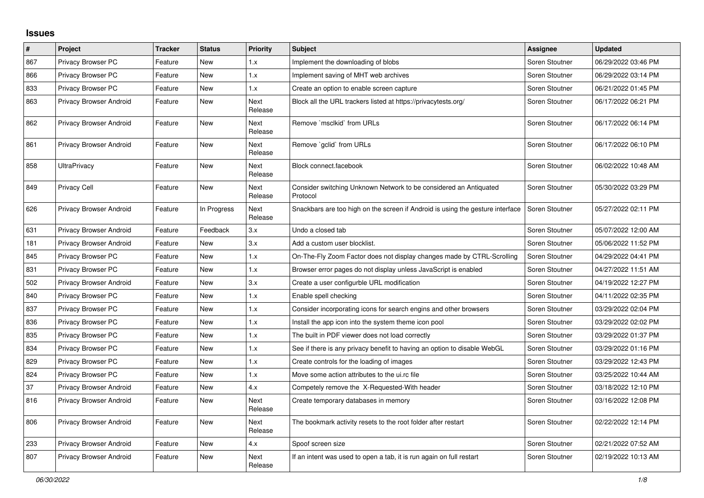## **Issues**

| $\pmb{\#}$ | Project                 | <b>Tracker</b> | <b>Status</b> | Priority               | <b>Subject</b>                                                                 | <b>Assignee</b> | <b>Updated</b>      |
|------------|-------------------------|----------------|---------------|------------------------|--------------------------------------------------------------------------------|-----------------|---------------------|
| 867        | Privacy Browser PC      | Feature        | <b>New</b>    | 1.x                    | Implement the downloading of blobs                                             | Soren Stoutner  | 06/29/2022 03:46 PM |
| 866        | Privacy Browser PC      | Feature        | <b>New</b>    | 1.x                    | Implement saving of MHT web archives                                           | Soren Stoutner  | 06/29/2022 03:14 PM |
| 833        | Privacy Browser PC      | Feature        | New           | 1.x                    | Create an option to enable screen capture                                      | Soren Stoutner  | 06/21/2022 01:45 PM |
| 863        | Privacy Browser Android | Feature        | New           | Next<br>Release        | Block all the URL trackers listed at https://privacytests.org/                 | Soren Stoutner  | 06/17/2022 06:21 PM |
| 862        | Privacy Browser Android | Feature        | New           | Next<br>Release        | Remove `msclkid` from URLs                                                     | Soren Stoutner  | 06/17/2022 06:14 PM |
| 861        | Privacy Browser Android | Feature        | <b>New</b>    | <b>Next</b><br>Release | Remove `gclid` from URLs                                                       | Soren Stoutner  | 06/17/2022 06:10 PM |
| 858        | <b>UltraPrivacy</b>     | Feature        | New           | Next<br>Release        | Block connect.facebook                                                         | Soren Stoutner  | 06/02/2022 10:48 AM |
| 849        | <b>Privacy Cell</b>     | Feature        | New           | Next<br>Release        | Consider switching Unknown Network to be considered an Antiquated<br>Protocol  | Soren Stoutner  | 05/30/2022 03:29 PM |
| 626        | Privacy Browser Android | Feature        | In Progress   | Next<br>Release        | Snackbars are too high on the screen if Android is using the gesture interface | Soren Stoutner  | 05/27/2022 02:11 PM |
| 631        | Privacy Browser Android | Feature        | Feedback      | 3.x                    | Undo a closed tab                                                              | Soren Stoutner  | 05/07/2022 12:00 AM |
| 181        | Privacy Browser Android | Feature        | New           | 3.x                    | Add a custom user blocklist.                                                   | Soren Stoutner  | 05/06/2022 11:52 PM |
| 845        | Privacy Browser PC      | Feature        | New           | 1.x                    | On-The-Fly Zoom Factor does not display changes made by CTRL-Scrolling         | Soren Stoutner  | 04/29/2022 04:41 PM |
| 831        | Privacy Browser PC      | Feature        | <b>New</b>    | 1.x                    | Browser error pages do not display unless JavaScript is enabled                | Soren Stoutner  | 04/27/2022 11:51 AM |
| 502        | Privacy Browser Android | Feature        | New           | 3.x                    | Create a user configurble URL modification                                     | Soren Stoutner  | 04/19/2022 12:27 PM |
| 840        | Privacy Browser PC      | Feature        | New           | 1.x                    | Enable spell checking                                                          | Soren Stoutner  | 04/11/2022 02:35 PM |
| 837        | Privacy Browser PC      | Feature        | <b>New</b>    | 1.x                    | Consider incorporating icons for search engins and other browsers              | Soren Stoutner  | 03/29/2022 02:04 PM |
| 836        | Privacy Browser PC      | Feature        | New           | 1.x                    | Install the app icon into the system theme icon pool                           | Soren Stoutner  | 03/29/2022 02:02 PM |
| 835        | Privacy Browser PC      | Feature        | New           | 1.x                    | The built in PDF viewer does not load correctly                                | Soren Stoutner  | 03/29/2022 01:37 PM |
| 834        | Privacy Browser PC      | Feature        | <b>New</b>    | 1.x                    | See if there is any privacy benefit to having an option to disable WebGL       | Soren Stoutner  | 03/29/2022 01:16 PM |
| 829        | Privacy Browser PC      | Feature        | <b>New</b>    | 1.x                    | Create controls for the loading of images                                      | Soren Stoutner  | 03/29/2022 12:43 PM |
| 824        | Privacy Browser PC      | Feature        | New           | 1.x                    | Move some action attributes to the ui.rc file                                  | Soren Stoutner  | 03/25/2022 10:44 AM |
| 37         | Privacy Browser Android | Feature        | New           | 4.x                    | Competely remove the X-Requested-With header                                   | Soren Stoutner  | 03/18/2022 12:10 PM |
| 816        | Privacy Browser Android | Feature        | New           | Next<br>Release        | Create temporary databases in memory                                           | Soren Stoutner  | 03/16/2022 12:08 PM |
| 806        | Privacy Browser Android | Feature        | New           | Next<br>Release        | The bookmark activity resets to the root folder after restart                  | Soren Stoutner  | 02/22/2022 12:14 PM |
| 233        | Privacy Browser Android | Feature        | New           | 4.x                    | Spoof screen size                                                              | Soren Stoutner  | 02/21/2022 07:52 AM |
| 807        | Privacy Browser Android | Feature        | <b>New</b>    | <b>Next</b><br>Release | If an intent was used to open a tab, it is run again on full restart           | Soren Stoutner  | 02/19/2022 10:13 AM |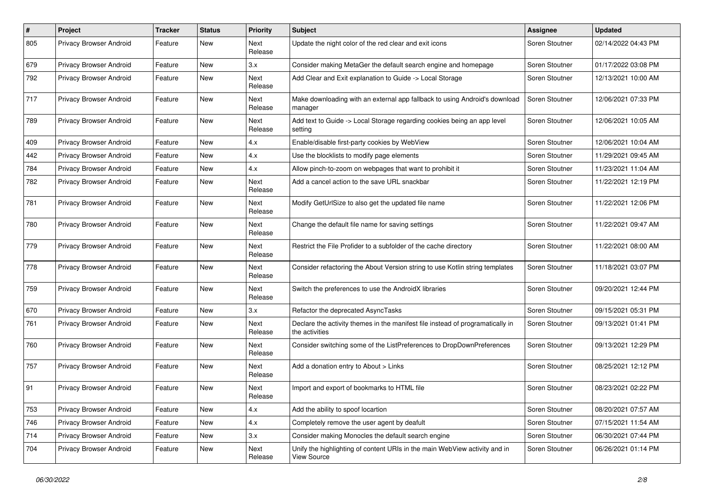| #   | Project                        | <b>Tracker</b> | <b>Status</b> | <b>Priority</b> | Subject                                                                                          | Assignee       | <b>Updated</b>      |
|-----|--------------------------------|----------------|---------------|-----------------|--------------------------------------------------------------------------------------------------|----------------|---------------------|
| 805 | Privacy Browser Android        | Feature        | New           | Next<br>Release | Update the night color of the red clear and exit icons                                           | Soren Stoutner | 02/14/2022 04:43 PM |
| 679 | Privacy Browser Android        | Feature        | New           | 3.x             | Consider making MetaGer the default search engine and homepage                                   | Soren Stoutner | 01/17/2022 03:08 PM |
| 792 | Privacy Browser Android        | Feature        | New           | Next<br>Release | Add Clear and Exit explanation to Guide -> Local Storage                                         | Soren Stoutner | 12/13/2021 10:00 AM |
| 717 | Privacy Browser Android        | Feature        | New           | Next<br>Release | Make downloading with an external app fallback to using Android's download<br>manager            | Soren Stoutner | 12/06/2021 07:33 PM |
| 789 | Privacy Browser Android        | Feature        | <b>New</b>    | Next<br>Release | Add text to Guide -> Local Storage regarding cookies being an app level<br>setting               | Soren Stoutner | 12/06/2021 10:05 AM |
| 409 | Privacy Browser Android        | Feature        | New           | 4.x             | Enable/disable first-party cookies by WebView                                                    | Soren Stoutner | 12/06/2021 10:04 AM |
| 442 | Privacy Browser Android        | Feature        | New           | 4.x             | Use the blocklists to modify page elements                                                       | Soren Stoutner | 11/29/2021 09:45 AM |
| 784 | Privacy Browser Android        | Feature        | New           | 4.x             | Allow pinch-to-zoom on webpages that want to prohibit it                                         | Soren Stoutner | 11/23/2021 11:04 AM |
| 782 | Privacy Browser Android        | Feature        | New           | Next<br>Release | Add a cancel action to the save URL snackbar                                                     | Soren Stoutner | 11/22/2021 12:19 PM |
| 781 | Privacy Browser Android        | Feature        | New           | Next<br>Release | Modify GetUrlSize to also get the updated file name                                              | Soren Stoutner | 11/22/2021 12:06 PM |
| 780 | <b>Privacy Browser Android</b> | Feature        | New           | Next<br>Release | Change the default file name for saving settings                                                 | Soren Stoutner | 11/22/2021 09:47 AM |
| 779 | Privacy Browser Android        | Feature        | New           | Next<br>Release | Restrict the File Profider to a subfolder of the cache directory                                 | Soren Stoutner | 11/22/2021 08:00 AM |
| 778 | Privacy Browser Android        | Feature        | New           | Next<br>Release | Consider refactoring the About Version string to use Kotlin string templates                     | Soren Stoutner | 11/18/2021 03:07 PM |
| 759 | Privacy Browser Android        | Feature        | <b>New</b>    | Next<br>Release | Switch the preferences to use the AndroidX libraries                                             | Soren Stoutner | 09/20/2021 12:44 PM |
| 670 | Privacy Browser Android        | Feature        | New           | 3.x             | Refactor the deprecated AsyncTasks                                                               | Soren Stoutner | 09/15/2021 05:31 PM |
| 761 | Privacy Browser Android        | Feature        | New           | Next<br>Release | Declare the activity themes in the manifest file instead of programatically in<br>the activities | Soren Stoutner | 09/13/2021 01:41 PM |
| 760 | <b>Privacy Browser Android</b> | Feature        | New           | Next<br>Release | Consider switching some of the ListPreferences to DropDownPreferences                            | Soren Stoutner | 09/13/2021 12:29 PM |
| 757 | Privacy Browser Android        | Feature        | New           | Next<br>Release | Add a donation entry to About > Links                                                            | Soren Stoutner | 08/25/2021 12:12 PM |
| 91  | Privacy Browser Android        | Feature        | <b>New</b>    | Next<br>Release | Import and export of bookmarks to HTML file                                                      | Soren Stoutner | 08/23/2021 02:22 PM |
| 753 | Privacy Browser Android        | Feature        | New           | 4.x             | Add the ability to spoof locartion                                                               | Soren Stoutner | 08/20/2021 07:57 AM |
| 746 | Privacy Browser Android        | Feature        | New           | 4.x             | Completely remove the user agent by deafult                                                      | Soren Stoutner | 07/15/2021 11:54 AM |
| 714 | Privacy Browser Android        | Feature        | New           | 3.x             | Consider making Monocles the default search engine                                               | Soren Stoutner | 06/30/2021 07:44 PM |
| 704 | Privacy Browser Android        | Feature        | New           | Next<br>Release | Unify the highlighting of content URIs in the main WebView activity and in<br>View Source        | Soren Stoutner | 06/26/2021 01:14 PM |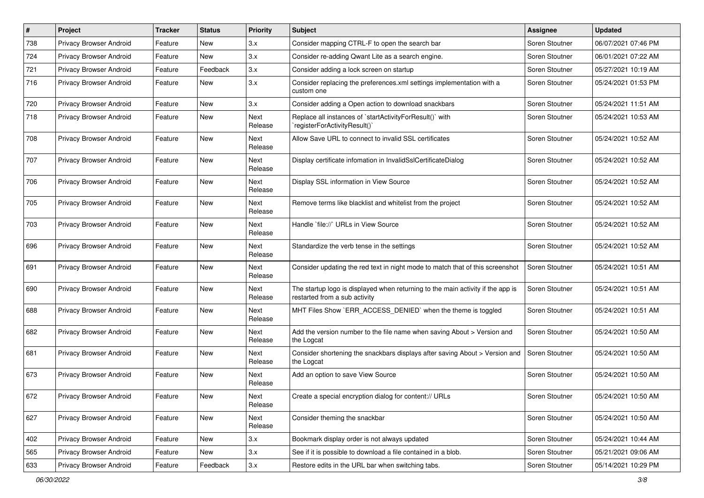| $\#$ | Project                        | <b>Tracker</b> | <b>Status</b> | <b>Priority</b> | <b>Subject</b>                                                                                                   | Assignee       | <b>Updated</b>      |
|------|--------------------------------|----------------|---------------|-----------------|------------------------------------------------------------------------------------------------------------------|----------------|---------------------|
| 738  | Privacy Browser Android        | Feature        | New           | 3.x             | Consider mapping CTRL-F to open the search bar                                                                   | Soren Stoutner | 06/07/2021 07:46 PM |
| 724  | Privacy Browser Android        | Feature        | New           | 3.x             | Consider re-adding Qwant Lite as a search engine.                                                                | Soren Stoutner | 06/01/2021 07:22 AM |
| 721  | Privacy Browser Android        | Feature        | Feedback      | 3.x             | Consider adding a lock screen on startup                                                                         | Soren Stoutner | 05/27/2021 10:19 AM |
| 716  | Privacy Browser Android        | Feature        | New           | 3.x             | Consider replacing the preferences.xml settings implementation with a<br>custom one                              | Soren Stoutner | 05/24/2021 01:53 PM |
| 720  | Privacy Browser Android        | Feature        | <b>New</b>    | 3.x             | Consider adding a Open action to download snackbars                                                              | Soren Stoutner | 05/24/2021 11:51 AM |
| 718  | <b>Privacy Browser Android</b> | Feature        | New           | Next<br>Release | Replace all instances of `startActivityForResult()` with<br>registerForActivityResult()`                         | Soren Stoutner | 05/24/2021 10:53 AM |
| 708  | Privacy Browser Android        | Feature        | New           | Next<br>Release | Allow Save URL to connect to invalid SSL certificates                                                            | Soren Stoutner | 05/24/2021 10:52 AM |
| 707  | Privacy Browser Android        | Feature        | <b>New</b>    | Next<br>Release | Display certificate infomation in InvalidSslCertificateDialog                                                    | Soren Stoutner | 05/24/2021 10:52 AM |
| 706  | Privacy Browser Android        | Feature        | New           | Next<br>Release | Display SSL information in View Source                                                                           | Soren Stoutner | 05/24/2021 10:52 AM |
| 705  | Privacy Browser Android        | Feature        | New           | Next<br>Release | Remove terms like blacklist and whitelist from the project                                                       | Soren Stoutner | 05/24/2021 10:52 AM |
| 703  | Privacy Browser Android        | Feature        | <b>New</b>    | Next<br>Release | Handle `file://` URLs in View Source                                                                             | Soren Stoutner | 05/24/2021 10:52 AM |
| 696  | <b>Privacy Browser Android</b> | Feature        | <b>New</b>    | Next<br>Release | Standardize the verb tense in the settings                                                                       | Soren Stoutner | 05/24/2021 10:52 AM |
| 691  | Privacy Browser Android        | Feature        | New           | Next<br>Release | Consider updating the red text in night mode to match that of this screenshot                                    | Soren Stoutner | 05/24/2021 10:51 AM |
| 690  | Privacy Browser Android        | Feature        | New           | Next<br>Release | The startup logo is displayed when returning to the main activity if the app is<br>restarted from a sub activity | Soren Stoutner | 05/24/2021 10:51 AM |
| 688  | Privacy Browser Android        | Feature        | <b>New</b>    | Next<br>Release | MHT Files Show `ERR ACCESS DENIED` when the theme is toggled                                                     | Soren Stoutner | 05/24/2021 10:51 AM |
| 682  | Privacy Browser Android        | Feature        | New           | Next<br>Release | Add the version number to the file name when saving About > Version and<br>the Logcat                            | Soren Stoutner | 05/24/2021 10:50 AM |
| 681  | Privacy Browser Android        | Feature        | New           | Next<br>Release | Consider shortening the snackbars displays after saving About > Version and<br>the Logcat                        | Soren Stoutner | 05/24/2021 10:50 AM |
| 673  | Privacy Browser Android        | Feature        | New           | Next<br>Release | Add an option to save View Source                                                                                | Soren Stoutner | 05/24/2021 10:50 AM |
| 672  | Privacy Browser Android        | Feature        | New           | Next<br>Release | Create a special encryption dialog for content:// URLs                                                           | Soren Stoutner | 05/24/2021 10:50 AM |
| 627  | Privacy Browser Android        | Feature        | New           | Next<br>Release | Consider theming the snackbar                                                                                    | Soren Stoutner | 05/24/2021 10:50 AM |
| 402  | Privacy Browser Android        | Feature        | New           | 3.x             | Bookmark display order is not always updated                                                                     | Soren Stoutner | 05/24/2021 10:44 AM |
| 565  | Privacy Browser Android        | Feature        | New           | 3.x             | See if it is possible to download a file contained in a blob.                                                    | Soren Stoutner | 05/21/2021 09:06 AM |
| 633  | Privacy Browser Android        | Feature        | Feedback      | 3.x             | Restore edits in the URL bar when switching tabs.                                                                | Soren Stoutner | 05/14/2021 10:29 PM |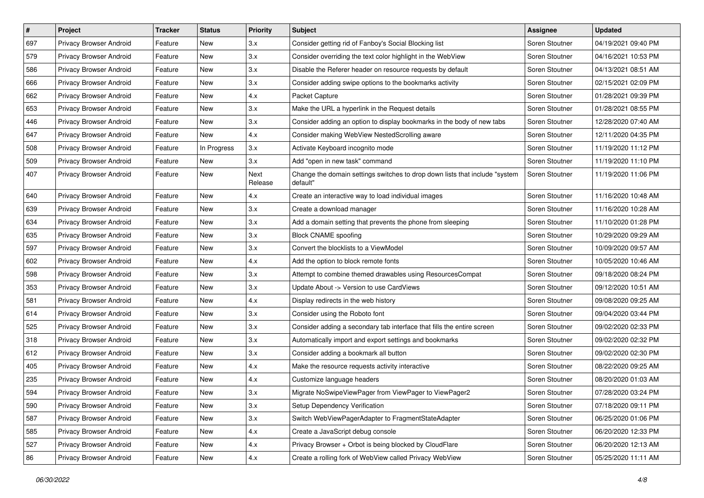| #   | Project                        | <b>Tracker</b> | <b>Status</b> | <b>Priority</b> | <b>Subject</b>                                                                          | <b>Assignee</b> | <b>Updated</b>      |
|-----|--------------------------------|----------------|---------------|-----------------|-----------------------------------------------------------------------------------------|-----------------|---------------------|
| 697 | Privacy Browser Android        | Feature        | New           | 3.x             | Consider getting rid of Fanboy's Social Blocking list                                   | Soren Stoutner  | 04/19/2021 09:40 PM |
| 579 | Privacy Browser Android        | Feature        | <b>New</b>    | 3.x             | Consider overriding the text color highlight in the WebView                             | Soren Stoutner  | 04/16/2021 10:53 PM |
| 586 | Privacy Browser Android        | Feature        | New           | 3.x             | Disable the Referer header on resource requests by default                              | Soren Stoutner  | 04/13/2021 08:51 AM |
| 666 | Privacy Browser Android        | Feature        | <b>New</b>    | 3.x             | Consider adding swipe options to the bookmarks activity                                 | Soren Stoutner  | 02/15/2021 02:09 PM |
| 662 | Privacy Browser Android        | Feature        | <b>New</b>    | 4.x             | Packet Capture                                                                          | Soren Stoutner  | 01/28/2021 09:39 PM |
| 653 | Privacy Browser Android        | Feature        | New           | 3.x             | Make the URL a hyperlink in the Request details                                         | Soren Stoutner  | 01/28/2021 08:55 PM |
| 446 | Privacy Browser Android        | Feature        | <b>New</b>    | 3.x             | Consider adding an option to display bookmarks in the body of new tabs                  | Soren Stoutner  | 12/28/2020 07:40 AM |
| 647 | Privacy Browser Android        | Feature        | New           | 4.x             | Consider making WebView NestedScrolling aware                                           | Soren Stoutner  | 12/11/2020 04:35 PM |
| 508 | Privacy Browser Android        | Feature        | In Progress   | 3.x             | Activate Keyboard incognito mode                                                        | Soren Stoutner  | 11/19/2020 11:12 PM |
| 509 | Privacy Browser Android        | Feature        | New           | 3.x             | Add "open in new task" command                                                          | Soren Stoutner  | 11/19/2020 11:10 PM |
| 407 | Privacy Browser Android        | Feature        | <b>New</b>    | Next<br>Release | Change the domain settings switches to drop down lists that include "system<br>default" | Soren Stoutner  | 11/19/2020 11:06 PM |
| 640 | Privacy Browser Android        | Feature        | <b>New</b>    | 4.x             | Create an interactive way to load individual images                                     | Soren Stoutner  | 11/16/2020 10:48 AM |
| 639 | Privacy Browser Android        | Feature        | New           | 3.x             | Create a download manager                                                               | Soren Stoutner  | 11/16/2020 10:28 AM |
| 634 | Privacy Browser Android        | Feature        | <b>New</b>    | 3.x             | Add a domain setting that prevents the phone from sleeping                              | Soren Stoutner  | 11/10/2020 01:28 PM |
| 635 | Privacy Browser Android        | Feature        | New           | 3.x             | <b>Block CNAME spoofing</b>                                                             | Soren Stoutner  | 10/29/2020 09:29 AM |
| 597 | Privacy Browser Android        | Feature        | New           | 3.x             | Convert the blocklists to a ViewModel                                                   | Soren Stoutner  | 10/09/2020 09:57 AM |
| 602 | Privacy Browser Android        | Feature        | <b>New</b>    | 4.x             | Add the option to block remote fonts                                                    | Soren Stoutner  | 10/05/2020 10:46 AM |
| 598 | Privacy Browser Android        | Feature        | New           | 3.x             | Attempt to combine themed drawables using ResourcesCompat                               | Soren Stoutner  | 09/18/2020 08:24 PM |
| 353 | Privacy Browser Android        | Feature        | <b>New</b>    | 3.x             | Update About -> Version to use CardViews                                                | Soren Stoutner  | 09/12/2020 10:51 AM |
| 581 | Privacy Browser Android        | Feature        | New           | 4.x             | Display redirects in the web history                                                    | Soren Stoutner  | 09/08/2020 09:25 AM |
| 614 | Privacy Browser Android        | Feature        | New           | 3.x             | Consider using the Roboto font                                                          | Soren Stoutner  | 09/04/2020 03:44 PM |
| 525 | Privacy Browser Android        | Feature        | <b>New</b>    | 3.x             | Consider adding a secondary tab interface that fills the entire screen                  | Soren Stoutner  | 09/02/2020 02:33 PM |
| 318 | Privacy Browser Android        | Feature        | New           | 3.x             | Automatically import and export settings and bookmarks                                  | Soren Stoutner  | 09/02/2020 02:32 PM |
| 612 | Privacy Browser Android        | Feature        | New           | 3.x             | Consider adding a bookmark all button                                                   | Soren Stoutner  | 09/02/2020 02:30 PM |
| 405 | Privacy Browser Android        | Feature        | New           | 4.x             | Make the resource requests activity interactive                                         | Soren Stoutner  | 08/22/2020 09:25 AM |
| 235 | Privacy Browser Android        | Feature        | New           | 4.x             | Customize language headers                                                              | Soren Stoutner  | 08/20/2020 01:03 AM |
| 594 | <b>Privacy Browser Android</b> | Feature        | New           | 3.x             | Migrate NoSwipeViewPager from ViewPager to ViewPager2                                   | Soren Stoutner  | 07/28/2020 03:24 PM |
| 590 | Privacy Browser Android        | Feature        | New           | 3.x             | Setup Dependency Verification                                                           | Soren Stoutner  | 07/18/2020 09:11 PM |
| 587 | Privacy Browser Android        | Feature        | New           | 3.x             | Switch WebViewPagerAdapter to FragmentStateAdapter                                      | Soren Stoutner  | 06/25/2020 01:06 PM |
| 585 | Privacy Browser Android        | Feature        | New           | 4.x             | Create a JavaScript debug console                                                       | Soren Stoutner  | 06/20/2020 12:33 PM |
| 527 | Privacy Browser Android        | Feature        | New           | 4.x             | Privacy Browser + Orbot is being blocked by CloudFlare                                  | Soren Stoutner  | 06/20/2020 12:13 AM |
| 86  | Privacy Browser Android        | Feature        | New           | 4.x             | Create a rolling fork of WebView called Privacy WebView                                 | Soren Stoutner  | 05/25/2020 11:11 AM |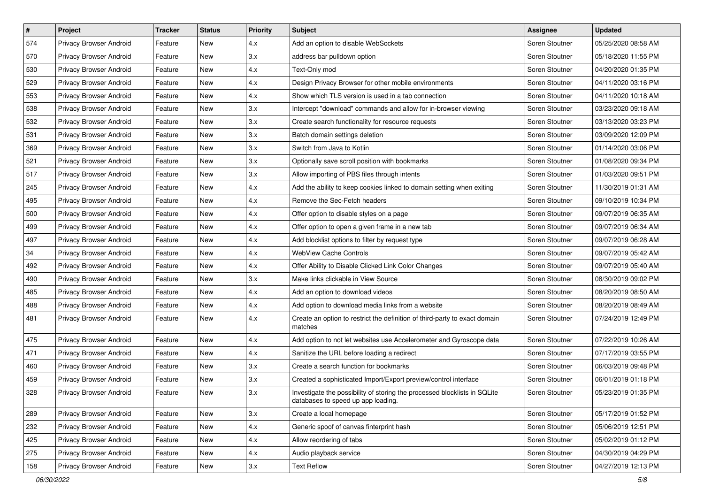| $\#$ | Project                 | <b>Tracker</b> | <b>Status</b> | <b>Priority</b> | <b>Subject</b>                                                                                                  | <b>Assignee</b> | <b>Updated</b>      |
|------|-------------------------|----------------|---------------|-----------------|-----------------------------------------------------------------------------------------------------------------|-----------------|---------------------|
| 574  | Privacy Browser Android | Feature        | New           | 4.x             | Add an option to disable WebSockets                                                                             | Soren Stoutner  | 05/25/2020 08:58 AM |
| 570  | Privacy Browser Android | Feature        | <b>New</b>    | 3.x             | address bar pulldown option                                                                                     | Soren Stoutner  | 05/18/2020 11:55 PM |
| 530  | Privacy Browser Android | Feature        | New           | 4.x             | Text-Only mod                                                                                                   | Soren Stoutner  | 04/20/2020 01:35 PM |
| 529  | Privacy Browser Android | Feature        | <b>New</b>    | 4.x             | Design Privacy Browser for other mobile environments                                                            | Soren Stoutner  | 04/11/2020 03:16 PM |
| 553  | Privacy Browser Android | Feature        | <b>New</b>    | 4.x             | Show which TLS version is used in a tab connection                                                              | Soren Stoutner  | 04/11/2020 10:18 AM |
| 538  | Privacy Browser Android | Feature        | New           | 3.x             | Intercept "download" commands and allow for in-browser viewing                                                  | Soren Stoutner  | 03/23/2020 09:18 AM |
| 532  | Privacy Browser Android | Feature        | New           | 3.x             | Create search functionality for resource requests                                                               | Soren Stoutner  | 03/13/2020 03:23 PM |
| 531  | Privacy Browser Android | Feature        | New           | 3.x             | Batch domain settings deletion                                                                                  | Soren Stoutner  | 03/09/2020 12:09 PM |
| 369  | Privacy Browser Android | Feature        | New           | 3.x             | Switch from Java to Kotlin                                                                                      | Soren Stoutner  | 01/14/2020 03:06 PM |
| 521  | Privacy Browser Android | Feature        | <b>New</b>    | 3.x             | Optionally save scroll position with bookmarks                                                                  | Soren Stoutner  | 01/08/2020 09:34 PM |
| 517  | Privacy Browser Android | Feature        | New           | 3.x             | Allow importing of PBS files through intents                                                                    | Soren Stoutner  | 01/03/2020 09:51 PM |
| 245  | Privacy Browser Android | Feature        | New           | 4.x             | Add the ability to keep cookies linked to domain setting when exiting                                           | Soren Stoutner  | 11/30/2019 01:31 AM |
| 495  | Privacy Browser Android | Feature        | <b>New</b>    | 4.x             | Remove the Sec-Fetch headers                                                                                    | Soren Stoutner  | 09/10/2019 10:34 PM |
| 500  | Privacy Browser Android | Feature        | New           | 4.x             | Offer option to disable styles on a page                                                                        | Soren Stoutner  | 09/07/2019 06:35 AM |
| 499  | Privacy Browser Android | Feature        | <b>New</b>    | 4.x             | Offer option to open a given frame in a new tab                                                                 | Soren Stoutner  | 09/07/2019 06:34 AM |
| 497  | Privacy Browser Android | Feature        | New           | 4.x             | Add blocklist options to filter by request type                                                                 | Soren Stoutner  | 09/07/2019 06:28 AM |
| 34   | Privacy Browser Android | Feature        | New           | 4.x             | <b>WebView Cache Controls</b>                                                                                   | Soren Stoutner  | 09/07/2019 05:42 AM |
| 492  | Privacy Browser Android | Feature        | <b>New</b>    | 4.x             | Offer Ability to Disable Clicked Link Color Changes                                                             | Soren Stoutner  | 09/07/2019 05:40 AM |
| 490  | Privacy Browser Android | Feature        | New           | 3.x             | Make links clickable in View Source                                                                             | Soren Stoutner  | 08/30/2019 09:02 PM |
| 485  | Privacy Browser Android | Feature        | <b>New</b>    | 4.x             | Add an option to download videos                                                                                | Soren Stoutner  | 08/20/2019 08:50 AM |
| 488  | Privacy Browser Android | Feature        | New           | 4.x             | Add option to download media links from a website                                                               | Soren Stoutner  | 08/20/2019 08:49 AM |
| 481  | Privacy Browser Android | Feature        | New           | 4.x             | Create an option to restrict the definition of third-party to exact domain<br>matches                           | Soren Stoutner  | 07/24/2019 12:49 PM |
| 475  | Privacy Browser Android | Feature        | New           | 4.x             | Add option to not let websites use Accelerometer and Gyroscope data                                             | Soren Stoutner  | 07/22/2019 10:26 AM |
| 471  | Privacy Browser Android | Feature        | New           | 4.x             | Sanitize the URL before loading a redirect                                                                      | Soren Stoutner  | 07/17/2019 03:55 PM |
| 460  | Privacy Browser Android | Feature        | <b>New</b>    | 3.x             | Create a search function for bookmarks                                                                          | Soren Stoutner  | 06/03/2019 09:48 PM |
| 459  | Privacy Browser Android | Feature        | New           | 3.x             | Created a sophisticated Import/Export preview/control interface                                                 | Soren Stoutner  | 06/01/2019 01:18 PM |
| 328  | Privacy Browser Android | Feature        | <b>New</b>    | 3.x             | Investigate the possibility of storing the processed blocklists in SQLite<br>databases to speed up app loading. | Soren Stoutner  | 05/23/2019 01:35 PM |
| 289  | Privacy Browser Android | Feature        | New           | 3.x             | Create a local homepage                                                                                         | Soren Stoutner  | 05/17/2019 01:52 PM |
| 232  | Privacy Browser Android | Feature        | New           | 4.x             | Generic spoof of canvas finterprint hash                                                                        | Soren Stoutner  | 05/06/2019 12:51 PM |
| 425  | Privacy Browser Android | Feature        | New           | 4.x             | Allow reordering of tabs                                                                                        | Soren Stoutner  | 05/02/2019 01:12 PM |
| 275  | Privacy Browser Android | Feature        | New           | 4.x             | Audio playback service                                                                                          | Soren Stoutner  | 04/30/2019 04:29 PM |
| 158  | Privacy Browser Android | Feature        | New           | 3.x             | <b>Text Reflow</b>                                                                                              | Soren Stoutner  | 04/27/2019 12:13 PM |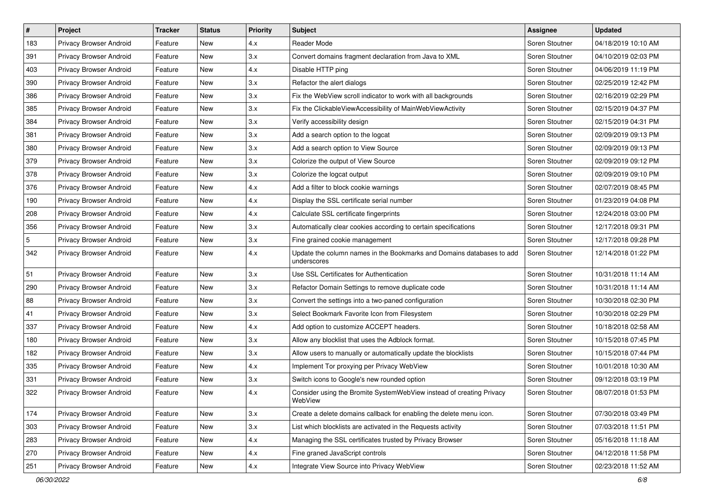| $\vert$ #       | Project                 | <b>Tracker</b> | <b>Status</b> | <b>Priority</b> | Subject                                                                              | <b>Assignee</b> | <b>Updated</b>      |
|-----------------|-------------------------|----------------|---------------|-----------------|--------------------------------------------------------------------------------------|-----------------|---------------------|
| 183             | Privacy Browser Android | Feature        | New           | 4.x             | Reader Mode                                                                          | Soren Stoutner  | 04/18/2019 10:10 AM |
| 391             | Privacy Browser Android | Feature        | New           | 3.x             | Convert domains fragment declaration from Java to XML                                | Soren Stoutner  | 04/10/2019 02:03 PM |
| 403             | Privacy Browser Android | Feature        | New           | 4.x             | Disable HTTP ping                                                                    | Soren Stoutner  | 04/06/2019 11:19 PM |
| 390             | Privacy Browser Android | Feature        | New           | 3.x             | Refactor the alert dialogs                                                           | Soren Stoutner  | 02/25/2019 12:42 PM |
| 386             | Privacy Browser Android | Feature        | New           | 3.x             | Fix the WebView scroll indicator to work with all backgrounds                        | Soren Stoutner  | 02/16/2019 02:29 PM |
| 385             | Privacy Browser Android | Feature        | New           | 3.x             | Fix the ClickableViewAccessibility of MainWebViewActivity                            | Soren Stoutner  | 02/15/2019 04:37 PM |
| 384             | Privacy Browser Android | Feature        | New           | 3.x             | Verify accessibility design                                                          | Soren Stoutner  | 02/15/2019 04:31 PM |
| 381             | Privacy Browser Android | Feature        | New           | 3.x             | Add a search option to the logcat                                                    | Soren Stoutner  | 02/09/2019 09:13 PM |
| 380             | Privacy Browser Android | Feature        | New           | 3.x             | Add a search option to View Source                                                   | Soren Stoutner  | 02/09/2019 09:13 PM |
| 379             | Privacy Browser Android | Feature        | New           | 3.x             | Colorize the output of View Source                                                   | Soren Stoutner  | 02/09/2019 09:12 PM |
| 378             | Privacy Browser Android | Feature        | New           | 3.x             | Colorize the logcat output                                                           | Soren Stoutner  | 02/09/2019 09:10 PM |
| 376             | Privacy Browser Android | Feature        | New           | 4.x             | Add a filter to block cookie warnings                                                | Soren Stoutner  | 02/07/2019 08:45 PM |
| 190             | Privacy Browser Android | Feature        | New           | 4.x             | Display the SSL certificate serial number                                            | Soren Stoutner  | 01/23/2019 04:08 PM |
| 208             | Privacy Browser Android | Feature        | New           | 4.x             | Calculate SSL certificate fingerprints                                               | Soren Stoutner  | 12/24/2018 03:00 PM |
| 356             | Privacy Browser Android | Feature        | New           | 3.x             | Automatically clear cookies according to certain specifications                      | Soren Stoutner  | 12/17/2018 09:31 PM |
| $5\phantom{.0}$ | Privacy Browser Android | Feature        | New           | 3.x             | Fine grained cookie management                                                       | Soren Stoutner  | 12/17/2018 09:28 PM |
| 342             | Privacy Browser Android | Feature        | New           | 4.x             | Update the column names in the Bookmarks and Domains databases to add<br>underscores | Soren Stoutner  | 12/14/2018 01:22 PM |
| 51              | Privacy Browser Android | Feature        | New           | 3.x             | Use SSL Certificates for Authentication                                              | Soren Stoutner  | 10/31/2018 11:14 AM |
| 290             | Privacy Browser Android | Feature        | New           | 3.x             | Refactor Domain Settings to remove duplicate code                                    | Soren Stoutner  | 10/31/2018 11:14 AM |
| 88              | Privacy Browser Android | Feature        | New           | 3.x             | Convert the settings into a two-paned configuration                                  | Soren Stoutner  | 10/30/2018 02:30 PM |
| 41              | Privacy Browser Android | Feature        | New           | 3.x             | Select Bookmark Favorite Icon from Filesystem                                        | Soren Stoutner  | 10/30/2018 02:29 PM |
| 337             | Privacy Browser Android | Feature        | New           | 4.x             | Add option to customize ACCEPT headers.                                              | Soren Stoutner  | 10/18/2018 02:58 AM |
| 180             | Privacy Browser Android | Feature        | New           | 3.x             | Allow any blocklist that uses the Adblock format.                                    | Soren Stoutner  | 10/15/2018 07:45 PM |
| 182             | Privacy Browser Android | Feature        | New           | 3.x             | Allow users to manually or automatically update the blocklists                       | Soren Stoutner  | 10/15/2018 07:44 PM |
| 335             | Privacy Browser Android | Feature        | New           | 4.x             | Implement Tor proxying per Privacy WebView                                           | Soren Stoutner  | 10/01/2018 10:30 AM |
| 331             | Privacy Browser Android | Feature        | New           | 3.x             | Switch icons to Google's new rounded option                                          | Soren Stoutner  | 09/12/2018 03:19 PM |
| 322             | Privacy Browser Android | Feature        | New           | 4.x             | Consider using the Bromite SystemWebView instead of creating Privacy<br>WebView      | Soren Stoutner  | 08/07/2018 01:53 PM |
| 174             | Privacy Browser Android | Feature        | New           | 3.x             | Create a delete domains callback for enabling the delete menu icon.                  | Soren Stoutner  | 07/30/2018 03:49 PM |
| 303             | Privacy Browser Android | Feature        | New           | 3.x             | List which blocklists are activated in the Requests activity                         | Soren Stoutner  | 07/03/2018 11:51 PM |
| 283             | Privacy Browser Android | Feature        | New           | 4.x             | Managing the SSL certificates trusted by Privacy Browser                             | Soren Stoutner  | 05/16/2018 11:18 AM |
| 270             | Privacy Browser Android | Feature        | New           | 4.x             | Fine graned JavaScript controls                                                      | Soren Stoutner  | 04/12/2018 11:58 PM |
| 251             | Privacy Browser Android | Feature        | New           | 4.x             | Integrate View Source into Privacy WebView                                           | Soren Stoutner  | 02/23/2018 11:52 AM |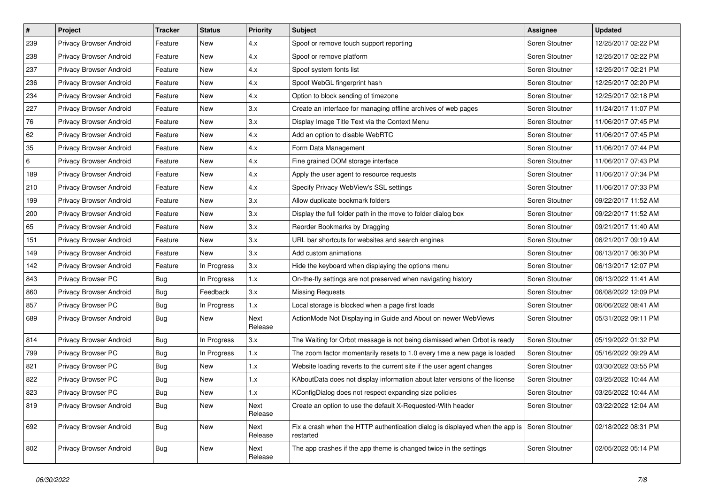| $\vert$ # | Project                 | <b>Tracker</b> | <b>Status</b> | <b>Priority</b> | Subject                                                                                   | Assignee       | <b>Updated</b>      |
|-----------|-------------------------|----------------|---------------|-----------------|-------------------------------------------------------------------------------------------|----------------|---------------------|
| 239       | Privacy Browser Android | Feature        | New           | 4.x             | Spoof or remove touch support reporting                                                   | Soren Stoutner | 12/25/2017 02:22 PM |
| 238       | Privacy Browser Android | Feature        | New           | 4.x             | Spoof or remove platform                                                                  | Soren Stoutner | 12/25/2017 02:22 PM |
| 237       | Privacy Browser Android | Feature        | New           | 4.x             | Spoof system fonts list                                                                   | Soren Stoutner | 12/25/2017 02:21 PM |
| 236       | Privacy Browser Android | Feature        | New           | 4.x             | Spoof WebGL fingerprint hash                                                              | Soren Stoutner | 12/25/2017 02:20 PM |
| 234       | Privacy Browser Android | Feature        | New           | 4.x             | Option to block sending of timezone                                                       | Soren Stoutner | 12/25/2017 02:18 PM |
| 227       | Privacy Browser Android | Feature        | New           | 3.x             | Create an interface for managing offline archives of web pages                            | Soren Stoutner | 11/24/2017 11:07 PM |
| 76        | Privacy Browser Android | Feature        | New           | 3.x             | Display Image Title Text via the Context Menu                                             | Soren Stoutner | 11/06/2017 07:45 PM |
| 62        | Privacy Browser Android | Feature        | New           | 4.x             | Add an option to disable WebRTC                                                           | Soren Stoutner | 11/06/2017 07:45 PM |
| 35        | Privacy Browser Android | Feature        | New           | 4.x             | Form Data Management                                                                      | Soren Stoutner | 11/06/2017 07:44 PM |
| 6         | Privacy Browser Android | Feature        | New           | 4.x             | Fine grained DOM storage interface                                                        | Soren Stoutner | 11/06/2017 07:43 PM |
| 189       | Privacy Browser Android | Feature        | New           | 4.x             | Apply the user agent to resource requests                                                 | Soren Stoutner | 11/06/2017 07:34 PM |
| 210       | Privacy Browser Android | Feature        | New           | 4.x             | Specify Privacy WebView's SSL settings                                                    | Soren Stoutner | 11/06/2017 07:33 PM |
| 199       | Privacy Browser Android | Feature        | New           | 3.x             | Allow duplicate bookmark folders                                                          | Soren Stoutner | 09/22/2017 11:52 AM |
| 200       | Privacy Browser Android | Feature        | New           | 3.x             | Display the full folder path in the move to folder dialog box                             | Soren Stoutner | 09/22/2017 11:52 AM |
| 65        | Privacy Browser Android | Feature        | New           | 3.x             | Reorder Bookmarks by Dragging                                                             | Soren Stoutner | 09/21/2017 11:40 AM |
| 151       | Privacy Browser Android | Feature        | New           | 3.x             | URL bar shortcuts for websites and search engines                                         | Soren Stoutner | 06/21/2017 09:19 AM |
| 149       | Privacy Browser Android | Feature        | New           | 3.x             | Add custom animations                                                                     | Soren Stoutner | 06/13/2017 06:30 PM |
| 142       | Privacy Browser Android | Feature        | In Progress   | 3.x             | Hide the keyboard when displaying the options menu                                        | Soren Stoutner | 06/13/2017 12:07 PM |
| 843       | Privacy Browser PC      | Bug            | In Progress   | 1.x             | On-the-fly settings are not preserved when navigating history                             | Soren Stoutner | 06/13/2022 11:41 AM |
| 860       | Privacy Browser Android | <b>Bug</b>     | Feedback      | 3.x             | <b>Missing Requests</b>                                                                   | Soren Stoutner | 06/08/2022 12:09 PM |
| 857       | Privacy Browser PC      | <b>Bug</b>     | In Progress   | 1.x             | Local storage is blocked when a page first loads                                          | Soren Stoutner | 06/06/2022 08:41 AM |
| 689       | Privacy Browser Android | <b>Bug</b>     | New           | Next<br>Release | ActionMode Not Displaying in Guide and About on newer WebViews                            | Soren Stoutner | 05/31/2022 09:11 PM |
| 814       | Privacy Browser Android | <b>Bug</b>     | In Progress   | 3.x             | The Waiting for Orbot message is not being dismissed when Orbot is ready                  | Soren Stoutner | 05/19/2022 01:32 PM |
| 799       | Privacy Browser PC      | <b>Bug</b>     | In Progress   | 1.x             | The zoom factor momentarily resets to 1.0 every time a new page is loaded                 | Soren Stoutner | 05/16/2022 09:29 AM |
| 821       | Privacy Browser PC      | <b>Bug</b>     | <b>New</b>    | 1.x             | Website loading reverts to the current site if the user agent changes                     | Soren Stoutner | 03/30/2022 03:55 PM |
| 822       | Privacy Browser PC      | <b>Bug</b>     | New           | 1.x             | KAboutData does not display information about later versions of the license               | Soren Stoutner | 03/25/2022 10:44 AM |
| 823       | Privacy Browser PC      | Bug            | New           | 1.x             | KConfigDialog does not respect expanding size policies                                    | Soren Stoutner | 03/25/2022 10:44 AM |
| 819       | Privacy Browser Android | Bug            | New           | Next<br>Release | Create an option to use the default X-Requested-With header                               | Soren Stoutner | 03/22/2022 12:04 AM |
| 692       | Privacy Browser Android | <b>Bug</b>     | New           | Next<br>Release | Fix a crash when the HTTP authentication dialog is displayed when the app is<br>restarted | Soren Stoutner | 02/18/2022 08:31 PM |
| 802       | Privacy Browser Android | <b>Bug</b>     | New           | Next<br>Release | The app crashes if the app theme is changed twice in the settings                         | Soren Stoutner | 02/05/2022 05:14 PM |